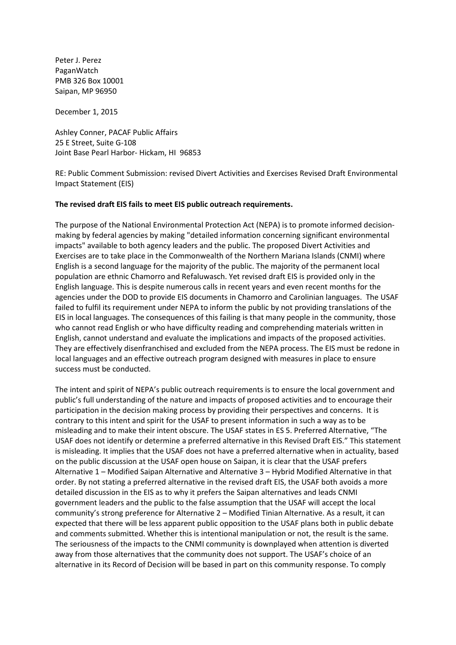Peter J. Perez PaganWatch PMB 326 Box 10001 Saipan, MP 96950

December 1, 2015

Ashley Conner, PACAF Public Affairs 25 E Street, Suite G-108 Joint Base Pearl Harbor- Hickam, HI 96853

RE: Public Comment Submission: revised Divert Activities and Exercises Revised Draft Environmental Impact Statement (EIS)

#### **The revised draft EIS fails to meet EIS public outreach requirements.**

The purpose of the National Environmental Protection Act (NEPA) is to promote informed decisionmaking by federal agencies by making "detailed information concerning significant environmental impacts" available to both agency leaders and the public. The proposed Divert Activities and Exercises are to take place in the Commonwealth of the Northern Mariana Islands (CNMI) where English is a second language for the majority of the public. The majority of the permanent local population are ethnic Chamorro and Refaluwasch. Yet revised draft EIS is provided only in the English language. This is despite numerous calls in recent years and even recent months for the agencies under the DOD to provide EIS documents in Chamorro and Carolinian languages. The USAF failed to fulfil its requirement under NEPA to inform the public by not providing translations of the EIS in local languages. The consequences of this failing is that many people in the community, those who cannot read English or who have difficulty reading and comprehending materials written in English, cannot understand and evaluate the implications and impacts of the proposed activities. They are effectively disenfranchised and excluded from the NEPA process. The EIS must be redone in local languages and an effective outreach program designed with measures in place to ensure success must be conducted.

The intent and spirit of NEPA's public outreach requirements is to ensure the local government and public's full understanding of the nature and impacts of proposed activities and to encourage their participation in the decision making process by providing their perspectives and concerns. It is contrary to this intent and spirit for the USAF to present information in such a way as to be misleading and to make their intent obscure. The USAF states in ES 5. Preferred Alternative, "The USAF does not identify or determine a preferred alternative in this Revised Draft EIS." This statement is misleading. It implies that the USAF does not have a preferred alternative when in actuality, based on the public discussion at the USAF open house on Saipan, it is clear that the USAF prefers Alternative 1 – Modified Saipan Alternative and Alternative 3 – Hybrid Modified Alternative in that order. By not stating a preferred alternative in the revised draft EIS, the USAF both avoids a more detailed discussion in the EIS as to why it prefers the Saipan alternatives and leads CNMI government leaders and the public to the false assumption that the USAF will accept the local community's strong preference for Alternative 2 – Modified Tinian Alternative. As a result, it can expected that there will be less apparent public opposition to the USAF plans both in public debate and comments submitted. Whether this is intentional manipulation or not, the result is the same. The seriousness of the impacts to the CNMI community is downplayed when attention is diverted away from those alternatives that the community does not support. The USAF's choice of an alternative in its Record of Decision will be based in part on this community response. To comply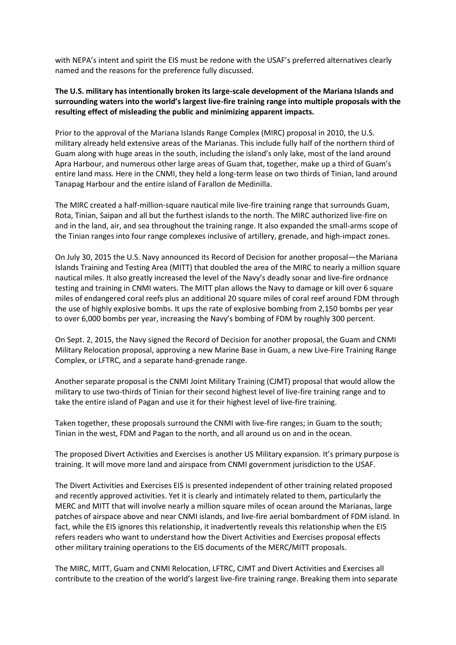with NEPA's intent and spirit the EIS must be redone with the USAF's preferred alternatives clearly named and the reasons for the preference fully discussed.

### **The U.S. military has intentionally broken its large-scale development of the Mariana Islands and surrounding waters into the world's largest live-fire training range into multiple proposals with the resulting effect of misleading the public and minimizing apparent impacts.**

Prior to the approval of the Mariana Islands Range Complex (MIRC) proposal in 2010, the U.S. military already held extensive areas of the Marianas. This include fully half of the northern third of Guam along with huge areas in the south, including the island's only lake, most of the land around Apra Harbour, and numerous other large areas of Guam that, together, make up a third of Guam's entire land mass. Here in the CNMI, they held a long-term lease on two thirds of Tinian, land around Tanapag Harbour and the entire island of Farallon de Medinilla.

The MIRC created a half-million-square nautical mile live-fire training range that surrounds Guam, Rota, Tinian, Saipan and all but the furthest islands to the north. The MIRC authorized live-fire on and in the land, air, and sea throughout the training range. It also expanded the small-arms scope of the Tinian ranges into four range complexes inclusive of artillery, grenade, and high-impact zones.

On July 30, 2015 the U.S. Navy announced its Record of Decision for another proposal—the Mariana Islands Training and Testing Area (MITT) that doubled the area of the MIRC to nearly a million square nautical miles. It also greatly increased the level of the Navy's deadly sonar and live-fire ordnance testing and training in CNMI waters. The MITT plan allows the Navy to damage or kill over 6 square miles of endangered coral reefs plus an additional 20 square miles of coral reef around FDM through the use of highly explosive bombs. It ups the rate of explosive bombing from 2,150 bombs per year to over 6,000 bombs per year, increasing the Navy's bombing of FDM by roughly 300 percent.

On Sept. 2, 2015, the Navy signed the Record of Decision for another proposal, the Guam and CNMI Military Relocation proposal, approving a new Marine Base in Guam, a new Live-Fire Training Range Complex, or LFTRC, and a separate hand-grenade range.

Another separate proposal is the CNMI Joint Military Training (CJMT) proposal that would allow the military to use two-thirds of Tinian for their second highest level of live-fire training range and to take the entire island of Pagan and use it for their highest level of live-fire training.

Taken together, these proposals surround the CNMI with live-fire ranges; in Guam to the south; Tinian in the west, FDM and Pagan to the north, and all around us on and in the ocean.

The proposed Divert Activities and Exercises is another US Military expansion. It's primary purpose is training. It will move more land and airspace from CNMI government jurisdiction to the USAF.

The Divert Activities and Exercises EIS is presented independent of other training related proposed and recently approved activities. Yet it is clearly and intimately related to them, particularly the MERC and MITT that will involve nearly a million square miles of ocean around the Marianas, large patches of airspace above and near CNMI islands, and live-fire aerial bombardment of FDM island. In fact, while the EIS ignores this relationship, it inadvertently reveals this relationship when the EIS refers readers who want to understand how the Divert Activities and Exercises proposal effects other military training operations to the EIS documents of the MERC/MITT proposals.

The MIRC, MITT, Guam and CNMI Relocation, LFTRC, CJMT and Divert Activities and Exercises all contribute to the creation of the world's largest live-fire training range. Breaking them into separate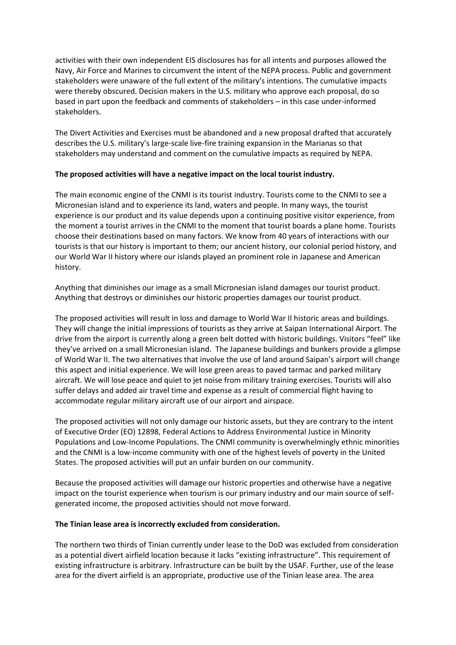activities with their own independent EIS disclosures has for all intents and purposes allowed the Navy, Air Force and Marines to circumvent the intent of the NEPA process. Public and government stakeholders were unaware of the full extent of the military's intentions. The cumulative impacts were thereby obscured. Decision makers in the U.S. military who approve each proposal, do so based in part upon the feedback and comments of stakeholders – in this case under-informed stakeholders.

The Divert Activities and Exercises must be abandoned and a new proposal drafted that accurately describes the U.S. military's large-scale live-fire training expansion in the Marianas so that stakeholders may understand and comment on the cumulative impacts as required by NEPA.

### **The proposed activities will have a negative impact on the local tourist industry.**

The main economic engine of the CNMI is its tourist industry. Tourists come to the CNMI to see a Micronesian island and to experience its land, waters and people. In many ways, the tourist experience is our product and its value depends upon a continuing positive visitor experience, from the moment a tourist arrives in the CNMI to the moment that tourist boards a plane home. Tourists choose their destinations based on many factors. We know from 40 years of interactions with our tourists is that our history is important to them; our ancient history, our colonial period history, and our World War II history where our islands played an prominent role in Japanese and American history.

Anything that diminishes our image as a small Micronesian island damages our tourist product. Anything that destroys or diminishes our historic properties damages our tourist product.

The proposed activities will result in loss and damage to World War II historic areas and buildings. They will change the initial impressions of tourists as they arrive at Saipan International Airport. The drive from the airport is currently along a green belt dotted with historic buildings. Visitors "feel" like they've arrived on a small Micronesian island. The Japanese buildings and bunkers provide a glimpse of World War II. The two alternatives that involve the use of land around Saipan's airport will change this aspect and initial experience. We will lose green areas to paved tarmac and parked military aircraft. We will lose peace and quiet to jet noise from military training exercises. Tourists will also suffer delays and added air travel time and expense as a result of commercial flight having to accommodate regular military aircraft use of our airport and airspace.

The proposed activities will not only damage our historic assets, but they are contrary to the intent of Executive Order (EO) 12898, Federal Actions to Address Environmental Justice in Minority Populations and Low-Income Populations. The CNMI community is overwhelmingly ethnic minorities and the CNMI is a low-income community with one of the highest levels of poverty in the United States. The proposed activities will put an unfair burden on our community.

Because the proposed activities will damage our historic properties and otherwise have a negative impact on the tourist experience when tourism is our primary industry and our main source of selfgenerated income, the proposed activities should not move forward.

## **The Tinian lease area is incorrectly excluded from consideration.**

The northern two thirds of Tinian currently under lease to the DoD was excluded from consideration as a potential divert airfield location because it lacks "existing infrastructure". This requirement of existing infrastructure is arbitrary. Infrastructure can be built by the USAF. Further, use of the lease area for the divert airfield is an appropriate, productive use of the Tinian lease area. The area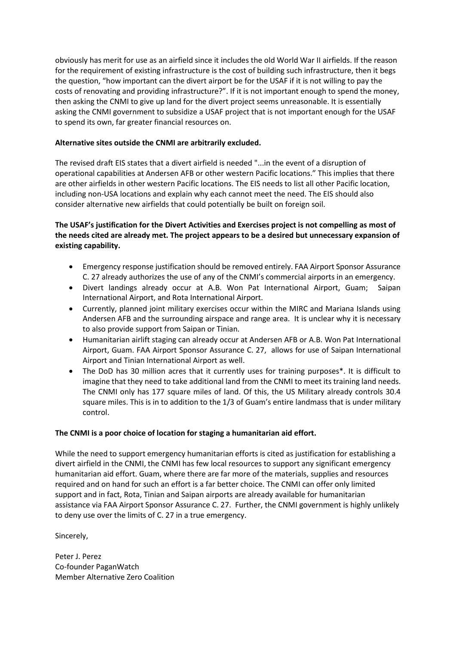obviously has merit for use as an airfield since it includes the old World War II airfields. If the reason for the requirement of existing infrastructure is the cost of building such infrastructure, then it begs the question, "how important can the divert airport be for the USAF if it is not willing to pay the costs of renovating and providing infrastructure?". If it is not important enough to spend the money, then asking the CNMI to give up land for the divert project seems unreasonable. It is essentially asking the CNMI government to subsidize a USAF project that is not important enough for the USAF to spend its own, far greater financial resources on.

# **Alternative sites outside the CNMI are arbitrarily excluded.**

The revised draft EIS states that a divert airfield is needed "...in the event of a disruption of operational capabilities at Andersen AFB or other western Pacific locations." This implies that there are other airfields in other western Pacific locations. The EIS needs to list all other Pacific location, including non-USA locations and explain why each cannot meet the need. The EIS should also consider alternative new airfields that could potentially be built on foreign soil.

# **The USAF's justification for the Divert Activities and Exercises project is not compelling as most of the needs cited are already met. The project appears to be a desired but unnecessary expansion of existing capability.**

- Emergency response justification should be removed entirely. FAA Airport Sponsor Assurance C. 27 already authorizes the use of any of the CNMI's commercial airports in an emergency.
- Divert landings already occur at A.B. Won Pat International Airport, Guam; Saipan International Airport, and Rota International Airport.
- Currently, planned joint military exercises occur within the MIRC and Mariana Islands using Andersen AFB and the surrounding airspace and range area. It is unclear why it is necessary to also provide support from Saipan or Tinian.
- Humanitarian airlift staging can already occur at Andersen AFB or A.B. Won Pat International Airport, Guam. FAA Airport Sponsor Assurance C. 27, allows for use of Saipan International Airport and Tinian International Airport as well.
- The DoD has 30 million acres that it currently uses for training purposes\*. It is difficult to imagine that they need to take additional land from the CNMI to meet its training land needs. The CNMI only has 177 square miles of land. Of this, the US Military already controls 30.4 square miles. This is in to addition to the 1/3 of Guam's entire landmass that is under military control.

## **The CNMI is a poor choice of location for staging a humanitarian aid effort.**

While the need to support emergency humanitarian efforts is cited as justification for establishing a divert airfield in the CNMI, the CNMI has few local resources to support any significant emergency humanitarian aid effort. Guam, where there are far more of the materials, supplies and resources required and on hand for such an effort is a far better choice. The CNMI can offer only limited support and in fact, Rota, Tinian and Saipan airports are already available for humanitarian assistance via FAA Airport Sponsor Assurance C. 27. Further, the CNMI government is highly unlikely to deny use over the limits of C. 27 in a true emergency.

Sincerely,

Peter J. Perez Co-founder PaganWatch Member Alternative Zero Coalition